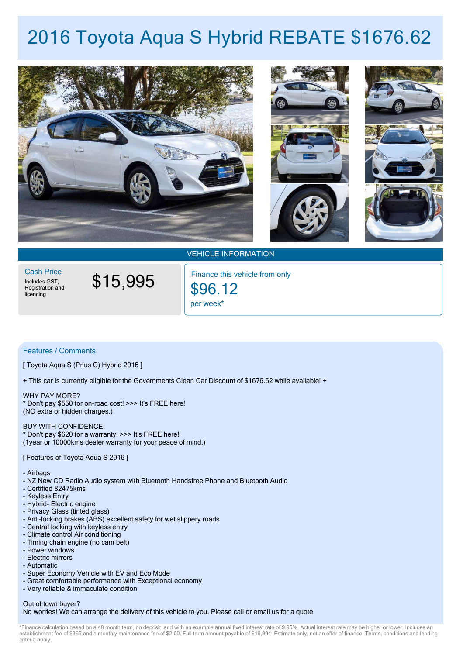# **2016 Toyota Aqua S Hybrid REBATE \$1676.62**



VEHICLE INFORMATION

Includes GST,<br>Registration and licencing Cash Price

\$15,995

per week\* \$96.12 Finance this vehicle from only

## Features / Comments

[ Toyota Aqua S (Prius C) Hybrid 2016 ]

+ This car is currently eligible for the Governments Clean Car Discount of \$1676.62 while available! +

WHY PAY MORE? \* Don't pay \$550 for on-road cost! >>> It's FREE here! (NO extra or hidden charges.)

#### BUY WITH CONFIDENCE!

\* Don't pay \$620 for a warranty! >>> It's FREE here! (1year or 10000kms dealer warranty for your peace of mind.)

### [ Features of Toyota Aqua S 2016 ]

- Airbags

- NZ New CD Radio Audio system with Bluetooth Handsfree Phone and Bluetooth Audio
- Certified 82475kms
- Keyless Entry
- Hybrid- Electric engine
- Privacy Glass (tinted glass)
- Anti-locking brakes (ABS) excellent safety for wet slippery roads
- Central locking with keyless entry
- Climate control Air conditioning
- Timing chain engine (no cam belt)
- Power windows
- Electric mirrors
- Automatic
- Super Economy Vehicle with EV and Eco Mode
- Great comfortable performance with Exceptional economy
- Very reliable & immaculate condition

## Out of town buyer?

No worries! We can arrange the delivery of this vehicle to you. Please call or email us for a quote.

\*Finance calculation based on a 48 month term, no deposit and with an example annual fixed interest rate of 9.95%. Actual interest rate may be higher or lower, Includes an establishment fee of \$365 and a monthly maintenance fee of \$2.00. Full term amount payable of \$19,994. Estimate only, not an offer of finance. Terms, conditions and lending criteria apply.